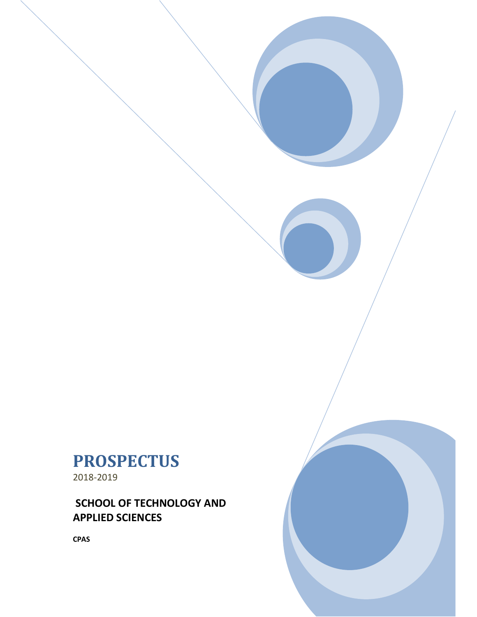# **PROSPECTUS**

2018-2019

**SCHOOL OF TECHNOLOGY AND APPLIED SCIENCES** 

**CPAS**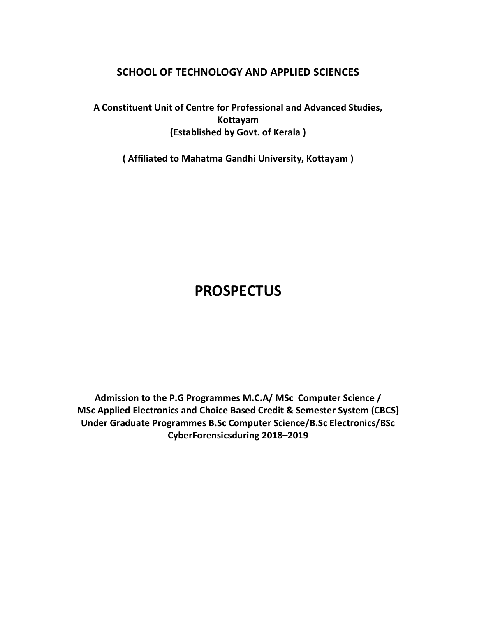## **SCHOOL OF TECHNOLOGY AND APPLIED SCIENCES**

**A Constituent Unit of Centre for Professional and Advanced Studies, Kottayam (Established by Govt. of Kerala )**

**( Affiliated to Mahatma Gandhi University, Kottayam )**

# **PROSPECTUS**

**Admission to the P.G Programmes M.C.A/ MSc Computer Science / MSc Applied Electronics and Choice Based Credit & Semester System (CBCS) Under Graduate Programmes B.Sc Computer Science/B.Sc Electronics/BSc CyberForensicsduring 2018–2019**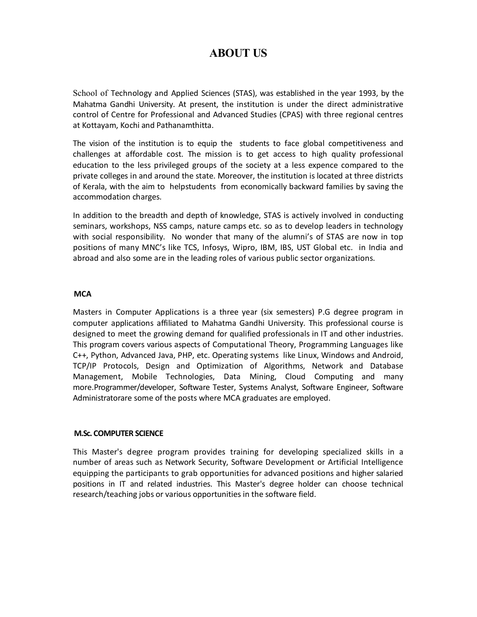# **ABOUT US**

School of Technology and Applied Sciences (STAS), was established in the year 1993, by the Mahatma Gandhi University. At present, the institution is under the direct administrative control of Centre for Professional and Advanced Studies (CPAS) with three regional centres at Kottayam, Kochi and Pathanamthitta.

The vision of the institution is to equip the students to face global competitiveness and challenges at affordable cost. The mission is to get access to high quality professional education to the less privileged groups of the society at a less expence compared to the private colleges in and around the state. Moreover, the institution is located at three districts of Kerala, with the aim to helpstudents from economically backward families by saving the accommodation charges.

In addition to the breadth and depth of knowledge, STAS is actively involved in conducting seminars, workshops, NSS camps, nature camps etc. so as to develop leaders in technology with social responsibility. No wonder that many of the alumni's of STAS are now in top positions of many MNC's like TCS, Infosys, Wipro, IBM, IBS, UST Global etc. in India and abroad and also some are in the leading roles of various public sector organizations.

#### **MCA**

Masters in Computer Applications is a three year (six semesters) P.G degree program in computer applications affiliated to Mahatma Gandhi University. This professional course is designed to meet the growing demand for qualified professionals in IT and other industries. This program covers various aspects of Computational Theory, Programming Languages like C++, Python, Advanced Java, PHP, etc. Operating systems like Linux, Windows and Android, TCP/IP Protocols, Design and Optimization of Algorithms, Network and Database Management, Mobile Technologies, Data Mining, Cloud Computing and many more.Programmer/developer, Software Tester, Systems Analyst, Software Engineer, Software Administratorare some of the posts where MCA graduates are employed.

#### **M.Sc. COMPUTER SCIENCE**

This Master's degree program provides training for developing specialized skills in a number of areas such as Network Security, Software Development or Artificial Intelligence equipping the participants to grab opportunities for advanced positions and higher salaried positions in IT and related industries. This Master's degree holder can choose technical research/teaching jobs or various opportunities in the software field.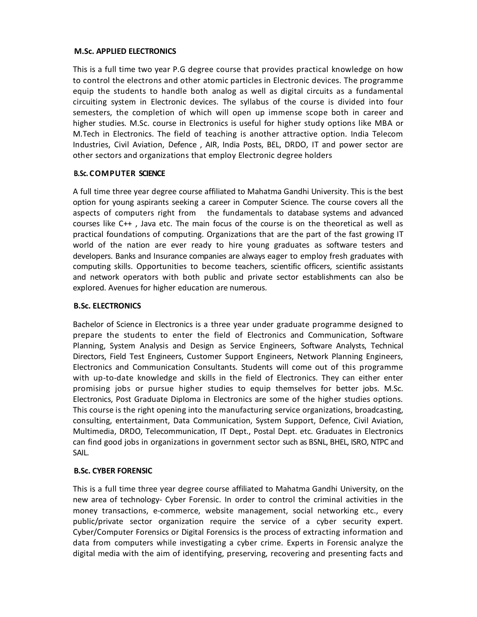#### **M.Sc. APPLIED ELECTRONICS**

This is a full time two year P.G degree course that provides practical knowledge on how to control the electrons and other atomic particles in Electronic devices. The programme equip the students to handle both analog as well as digital circuits as a fundamental circuiting system in Electronic devices. The syllabus of the course is divided into four semesters, the completion of which will open up immense scope both in career and higher studies. M.Sc. course in Electronics is useful for higher study options like MBA or M.Tech in Electronics. The field of teaching is another attractive option. India Telecom Industries, Civil Aviation, Defence , AIR, India Posts, BEL, DRDO, IT and power sector are other sectors and organizations that employ Electronic degree holders

#### **B.Sc. COMPUTER SCIENCE**

A full time three year degree course affiliated to Mahatma Gandhi University. This is the best option for young aspirants seeking a career in Computer Science. The course covers all the aspects of computers right from the fundamentals to database systems and advanced courses like C++ , Java etc. The main focus of the course is on the theoretical as well as practical foundations of computing. Organizations that are the part of the fast growing IT world of the nation are ever ready to hire young graduates as software testers and developers. Banks and Insurance companies are always eager to employ fresh graduates with computing skills. Opportunities to become teachers, scientific officers, scientific assistants and network operators with both public and private sector establishments can also be explored. Avenues for higher education are numerous.

#### **B.Sc. ELECTRONICS**

Bachelor of Science in Electronics is a three year under graduate programme designed to prepare the students to enter the field of Electronics and Communication, Software Planning, System Analysis and Design as Service Engineers, Software Analysts, Technical Directors, Field Test Engineers, Customer Support Engineers, Network Planning Engineers, Electronics and Communication Consultants. Students will come out of this programme with up-to-date knowledge and skills in the field of Electronics. They can either enter promising jobs or pursue higher studies to equip themselves for better jobs. M.Sc. Electronics, Post Graduate Diploma in Electronics are some of the higher studies options. This course is the right opening into the manufacturing service organizations, broadcasting, consulting, entertainment, Data Communication, System Support, Defence, Civil Aviation, Multimedia, DRDO, Telecommunication, IT Dept., Postal Dept. etc. Graduates in Electronics can find good jobs in organizations in government sector such as BSNL, BHEL, ISRO, NTPC and SAIL.

#### **B.Sc. CYBER FORENSIC**

This is a full time three year degree course affiliated to Mahatma Gandhi University, on the new area of technology- Cyber Forensic. In order to control the criminal activities in the money transactions, e-commerce, website management, social networking etc., every public/private sector organization require the service of a cyber security expert. Cyber/Computer Forensics or Digital Forensics is the process of extracting information and data from computers while investigating a cyber crime. Experts in Forensic analyze the digital media with the aim of identifying, preserving, recovering and presenting facts and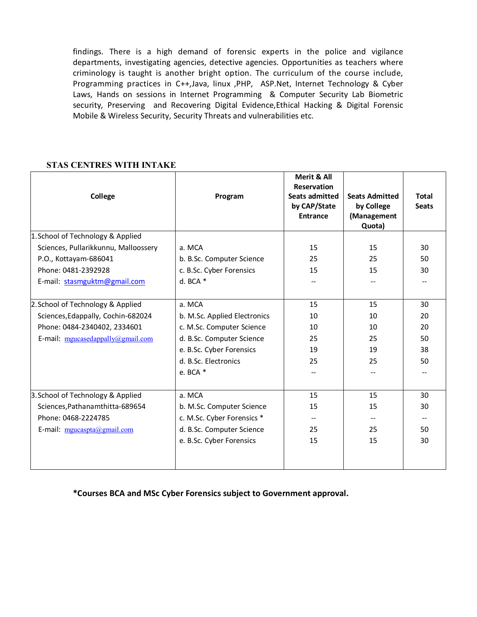findings. There is a high demand of forensic experts in the police and vigilance departments, investigating agencies, detective agencies. Opportunities as teachers where criminology is taught is another bright option. The curriculum of the course include, Programming practices in C++,Java, linux ,PHP, ASP.Net, Internet Technology & Cyber Laws, Hands on sessions in Internet Programming & Computer Security Lab Biometric security, Preserving and Recovering Digital Evidence,Ethical Hacking & Digital Forensic Mobile & Wireless Security, Security Threats and vulnerabilities etc.

#### **STAS CENTRES WITH INTAKE**

| College                              | Program                      | Merit & All<br><b>Reservation</b><br><b>Seats admitted</b><br>by CAP/State<br><b>Entrance</b> | <b>Seats Admitted</b><br>by College<br>(Management<br>Quota) | <b>Total</b><br><b>Seats</b> |  |
|--------------------------------------|------------------------------|-----------------------------------------------------------------------------------------------|--------------------------------------------------------------|------------------------------|--|
| 1. School of Technology & Applied    |                              |                                                                                               |                                                              |                              |  |
| Sciences, Pullarikkunnu, Malloossery | a. MCA                       | 15                                                                                            | 15                                                           | 30                           |  |
| P.O., Kottayam-686041                | b. B.Sc. Computer Science    | 25                                                                                            | 25                                                           | 50                           |  |
| Phone: 0481-2392928                  | c. B.Sc. Cyber Forensics     | 15                                                                                            | 15                                                           | 30                           |  |
| E-mail: stasmguktm@gmail.com         | d. BCA $*$                   |                                                                                               |                                                              |                              |  |
| 2. School of Technology & Applied    | a. MCA                       | 15                                                                                            | 15                                                           | 30                           |  |
| Sciences, Edappally, Cochin-682024   | b. M.Sc. Applied Electronics | 10                                                                                            | 10                                                           | 20                           |  |
| Phone: 0484-2340402, 2334601         | c. M.Sc. Computer Science    | 10                                                                                            | 10                                                           | 20                           |  |
| E-mail: mgucasedappally@gmail.com    | d. B.Sc. Computer Science    | 25                                                                                            | 25                                                           | 50                           |  |
|                                      | e. B.Sc. Cyber Forensics     | 19                                                                                            | 19                                                           | 38                           |  |
|                                      | d. B.Sc. Electronics         | 25                                                                                            | 25                                                           | 50                           |  |
|                                      | e. BCA *                     |                                                                                               |                                                              |                              |  |
| 3. School of Technology & Applied    | a. MCA                       | 15                                                                                            | 15                                                           | 30                           |  |
| Sciences, Pathanamthitta-689654      | b. M.Sc. Computer Science    | 15                                                                                            | 15                                                           | 30                           |  |
| Phone: 0468-2224785                  | c. M.Sc. Cyber Forensics *   |                                                                                               |                                                              |                              |  |
| E-mail: mgucaspta@gmail.com          | d. B.Sc. Computer Science    | 25                                                                                            | 25                                                           | 50                           |  |
|                                      | e. B.Sc. Cyber Forensics     | 15                                                                                            | 15                                                           | 30                           |  |
|                                      |                              |                                                                                               |                                                              |                              |  |

**\*Courses BCA and MSc Cyber Forensics subject to Government approval.**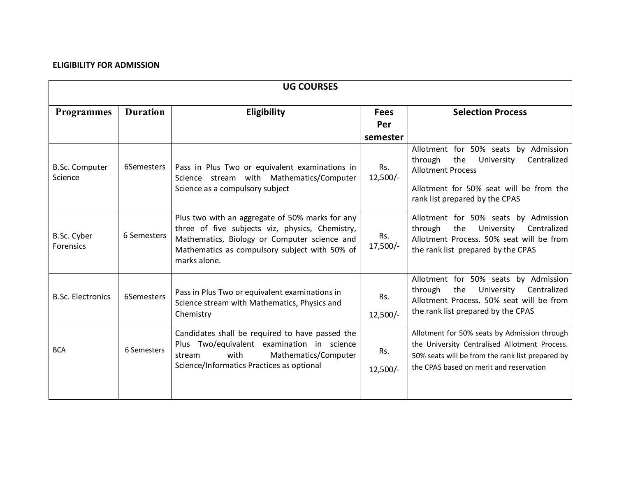#### **ELIGIBILITY FOR ADMISSION**

| <b>UG COURSES</b>                |                 |                                                                                                                                                                                                                     |                                |                                                                                                                                                                                              |  |  |  |  |  |  |
|----------------------------------|-----------------|---------------------------------------------------------------------------------------------------------------------------------------------------------------------------------------------------------------------|--------------------------------|----------------------------------------------------------------------------------------------------------------------------------------------------------------------------------------------|--|--|--|--|--|--|
| <b>Programmes</b>                | <b>Duration</b> | Eligibility                                                                                                                                                                                                         | <b>Fees</b><br>Per<br>semester | <b>Selection Process</b>                                                                                                                                                                     |  |  |  |  |  |  |
| <b>B.Sc. Computer</b><br>Science | 6Semesters      | Pass in Plus Two or equivalent examinations in<br>Science stream with Mathematics/Computer<br>Science as a compulsory subject                                                                                       | Rs.<br>$12,500/-$              | Allotment for 50% seats by Admission<br>through<br>the<br>Centralized<br>University<br><b>Allotment Process</b><br>Allotment for 50% seat will be from the<br>rank list prepared by the CPAS |  |  |  |  |  |  |
| B.Sc. Cyber<br>Forensics         | 6 Semesters     | Plus two with an aggregate of 50% marks for any<br>three of five subjects viz, physics, Chemistry,<br>Mathematics, Biology or Computer science and<br>Mathematics as compulsory subject with 50% of<br>marks alone. | Rs.<br>$17,500/-$              | Allotment for 50% seats by Admission<br>Centralized<br>through<br>the<br>University<br>Allotment Process. 50% seat will be from<br>the rank list prepared by the CPAS                        |  |  |  |  |  |  |
| <b>B.Sc. Electronics</b>         | 6Semesters      | Pass in Plus Two or equivalent examinations in<br>Science stream with Mathematics, Physics and<br>Chemistry                                                                                                         | Rs.<br>$12,500/-$              | Allotment for 50% seats by Admission<br>University<br>Centralized<br>through<br>the<br>Allotment Process. 50% seat will be from<br>the rank list prepared by the CPAS                        |  |  |  |  |  |  |
| <b>BCA</b>                       | 6 Semesters     | Candidates shall be required to have passed the<br>Plus Two/equivalent examination in science<br>with<br>Mathematics/Computer<br>stream<br>Science/Informatics Practices as optional                                | Rs.<br>$12,500/-$              | Allotment for 50% seats by Admission through<br>the University Centralised Allotment Process.<br>50% seats will be from the rank list prepared by<br>the CPAS based on merit and reservation |  |  |  |  |  |  |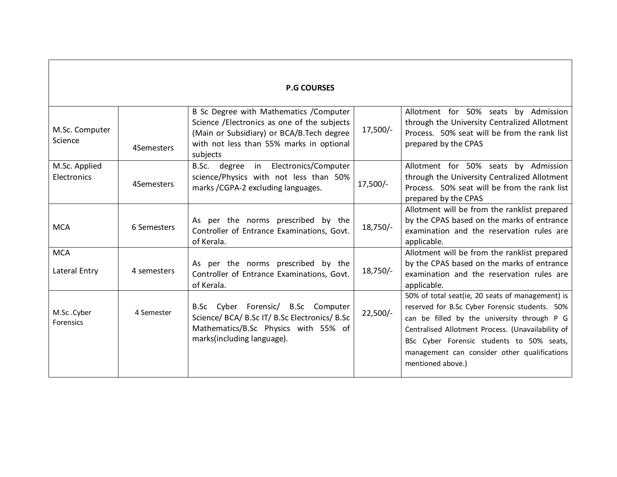| <b>P.G COURSES</b>           |             |                                                                                                                                                                                              |            |                                                                                                                                                                                                                                                                                                                          |  |  |  |  |  |  |
|------------------------------|-------------|----------------------------------------------------------------------------------------------------------------------------------------------------------------------------------------------|------------|--------------------------------------------------------------------------------------------------------------------------------------------------------------------------------------------------------------------------------------------------------------------------------------------------------------------------|--|--|--|--|--|--|
| M.Sc. Computer<br>Science    | 4Semesters  | B Sc Degree with Mathematics / Computer<br>Science /Electronics as one of the subjects<br>(Main or Subsidiary) or BCA/B. Tech degree<br>with not less than 55% marks in optional<br>subjects | 17,500/-   | Allotment for 50% seats by Admission<br>through the University Centralized Allotment<br>Process. 50% seat will be from the rank list<br>prepared by the CPAS                                                                                                                                                             |  |  |  |  |  |  |
| M.Sc. Applied<br>Electronics | 4Semesters  | degree in Electronics/Computer<br>B.Sc.<br>science/Physics with not less than 50%<br>marks /CGPA-2 excluding languages.                                                                      | $17,500/-$ | Allotment for 50% seats by Admission<br>through the University Centralized Allotment<br>Process. 50% seat will be from the rank list<br>prepared by the CPAS                                                                                                                                                             |  |  |  |  |  |  |
| <b>MCA</b>                   | 6 Semesters | As per the norms prescribed by the<br>Controller of Entrance Examinations, Govt.<br>of Kerala.                                                                                               | $18,750/-$ | Allotment will be from the ranklist prepared<br>by the CPAS based on the marks of entrance<br>examination and the reservation rules are<br>applicable.                                                                                                                                                                   |  |  |  |  |  |  |
| <b>MCA</b><br>Lateral Entry  | 4 semesters | As per the norms prescribed by the<br>Controller of Entrance Examinations, Govt.<br>of Kerala.                                                                                               | $18,750/-$ | Allotment will be from the ranklist prepared<br>by the CPAS based on the marks of entrance<br>examination and the reservation rules are<br>applicable.                                                                                                                                                                   |  |  |  |  |  |  |
| M.Sc.Cyber<br>Forensics      | 4 Semester  | B.Sc Cyber Forensic/ B.Sc Computer<br>Science/ BCA/ B.Sc IT/ B.Sc Electronics/ B.Sc<br>Mathematics/B.Sc Physics with 55% of<br>marks(including language).                                    | $22,500/-$ | 50% of total seat(ie, 20 seats of management) is<br>reserved for B.Sc Cyber Forensic students. 50%<br>can be filled by the university through P G<br>Centralised Allotment Process. (Unavailability of<br>BSc Cyber Forensic students to 50% seats,<br>management can consider other qualifications<br>mentioned above.) |  |  |  |  |  |  |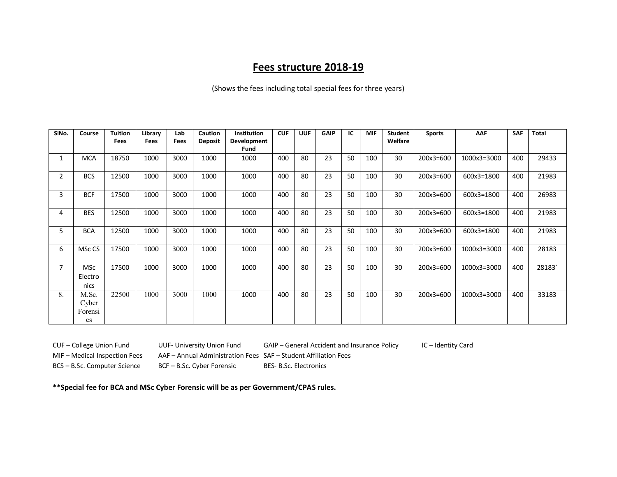## **Fees structure 2018-19**

(Shows the fees including total special fees for three years)

| SINo.          | Course     | <b>Tuition</b> | Library     | Lab  | <b>Caution</b> | Institution | <b>CUF</b> | <b>UUF</b> | <b>GAIP</b> | IC | <b>MIF</b> | <b>Student</b> | <b>Sports</b> | AAF         | <b>SAF</b> | <b>Total</b> |
|----------------|------------|----------------|-------------|------|----------------|-------------|------------|------------|-------------|----|------------|----------------|---------------|-------------|------------|--------------|
|                |            | <b>Fees</b>    | <b>Fees</b> | Fees | <b>Deposit</b> | Development |            |            |             |    |            | Welfare        |               |             |            |              |
|                |            |                |             |      |                | <b>Fund</b> |            |            |             |    |            |                |               |             |            |              |
|                | <b>MCA</b> | 18750          | 1000        | 3000 | 1000           | 1000        | 400        | 80         | 23          | 50 | 100        | 30             | $200x3=600$   | 1000x3=3000 | 400        | 29433        |
| $\overline{2}$ | <b>BCS</b> | 12500          | 1000        | 3000 | 1000           | 1000        | 400        | 80         | 23          | 50 | 100        | 30             | 200x3=600     | 600x3=1800  | 400        | 21983        |
| 3              | <b>BCF</b> | 17500          | 1000        | 3000 | 1000           | 1000        | 400        | 80         | 23          | 50 | 100        | 30             | 200x3=600     | 600x3=1800  | 400        | 26983        |
| 4              | <b>BES</b> | 12500          | 1000        | 3000 | 1000           | 1000        | 400        | 80         | 23          | 50 | 100        | 30             | $200x3=600$   | 600x3=1800  | 400        | 21983        |
| 5.             | <b>BCA</b> | 12500          | 1000        | 3000 | 1000           | 1000        | 400        | 80         | 23          | 50 | 100        | 30             | 200x3=600     | 600x3=1800  | 400        | 21983        |
| 6              | MSc CS     | 17500          | 1000        | 3000 | 1000           | 1000        | 400        | 80         | 23          | 50 | 100        | 30             | 200x3=600     | 1000x3=3000 | 400        | 28183        |
|                | <b>MSc</b> | 17500          | 1000        | 3000 | 1000           | 1000        | 400        | 80         | 23          | 50 | 100        | 30             | $200x3=600$   | 1000x3=3000 | 400        | 28183        |
|                | Electro    |                |             |      |                |             |            |            |             |    |            |                |               |             |            |              |
|                | nics       |                |             |      |                |             |            |            |             |    |            |                |               |             |            |              |
| 8.             | M.Sc.      | 22500          | 1000        | 3000 | 1000           | 1000        | 400        | 80         | 23          | 50 | 100        | 30             | $200x3=600$   | 1000x3=3000 | 400        | 33183        |
|                | Cyber      |                |             |      |                |             |            |            |             |    |            |                |               |             |            |              |
|                | Forensi    |                |             |      |                |             |            |            |             |    |            |                |               |             |            |              |
|                | cs         |                |             |      |                |             |            |            |             |    |            |                |               |             |            |              |

CUF – College Union Fund UUF- University Union Fund GAIP – General Accident and Insurance Policy IC – Identity Card

MIF – Medical Inspection Fees AAF – Annual Administration Fees SAF – Student Affiliation Fees

BCS – B.Sc. Computer Science BCF – B.Sc. Cyber Forensic BES- B.Sc. Electronics

**\*\*Special fee for BCA and MSc Cyber Forensic will be as per Government/CPAS rules.**